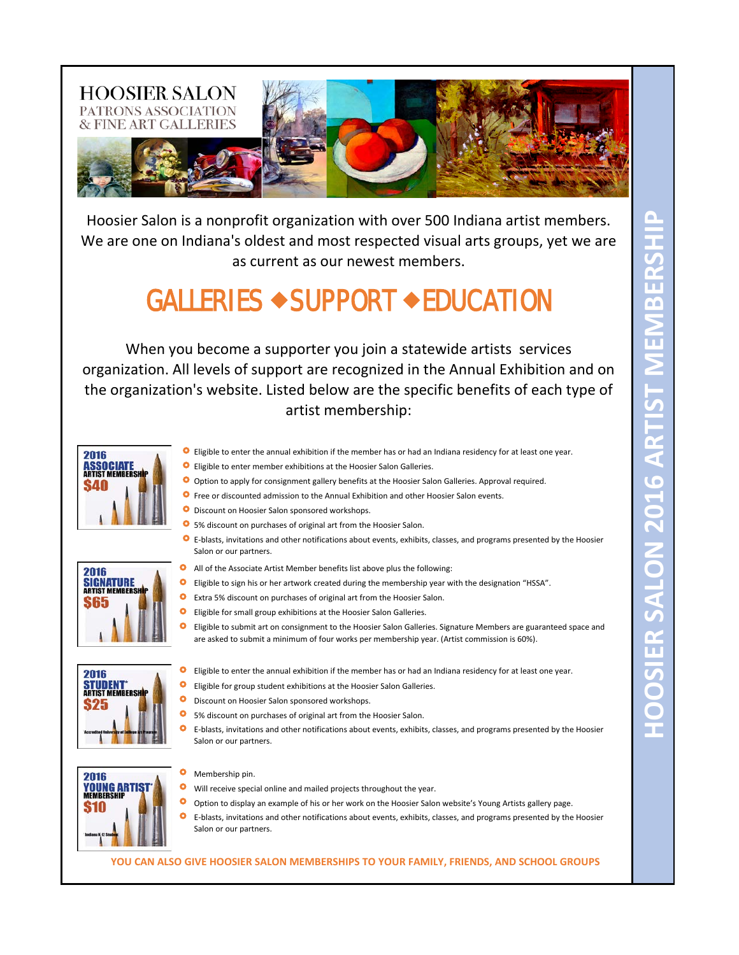

Hoosier Salon is a nonprofit organization with over 500 Indiana artist members. We are one on Indiana's oldest and most respected visual arts groups, yet we are as current as our newest members.

## GALLERIES  $\rightarrow$  SUPPORT  $\rightarrow$  EDUCATION

When you become a supporter you join a statewide artists services organization. All levels of support are recognized in the Annual Exhibition and on the organization's website. Listed below are the specific benefits of each type of artist membership:



- **O** Eligible to enter the annual exhibition if the member has or had an Indiana residency for at least one year.
- **O** Eligible to enter member exhibitions at the Hoosier Salon Galleries.
- O Option to apply for consignment gallery benefits at the Hoosier Salon Galleries. Approval required.
- **O** Free or discounted admission to the Annual Exhibition and other Hoosier Salon events.
- **O** Discount on Hoosier Salon sponsored workshops.

Salon or our partners.

- 5% discount on purchases of original art from the Hoosier Salon.
- 2016 **SIGNATURE**<br>ARTIST MEMBERSH
- ۰ All of the Associate Artist Member benefits list above plus the following:
- $\bullet$ Eligible to sign his or her artwork created during the membership year with the designation "HSSA".
- Ō Extra 5% discount on purchases of original art from the Hoosier Salon.
- $\bullet$ Eligible for small group exhibitions at the Hoosier Salon Galleries.
- $\bullet$ Eligible to submit art on consignment to the Hoosier Salon Galleries. Signature Members are guaranteed space and are asked to submit a minimum of four works per membership year. (Artist commission is 60%).

E-blasts, invitations and other notifications about events, exhibits, classes, and programs presented by the Hoosier



- **O** Eligible to enter the annual exhibition if the member has or had an Indiana residency for at least one year.
- **O** Eligible for group student exhibitions at the Hoosier Salon Galleries.
- ۰ Discount on Hoosier Salon sponsored workshops.
- $\bullet$ 5% discount on purchases of original art from the Hoosier Salon.
- $\bullet$ E-blasts, invitations and other notifications about events, exhibits, classes, and programs presented by the Hoosier Salon or our partners.



- $\bullet$ Membership pin.
- Will receive special online and mailed projects throughout the year.
- $\bullet$ Option to display an example of his or her work on the Hoosier Salon website's Young Artists gallery page.
- E-blasts, invitations and other notifications about events, exhibits, classes, and programs presented by the Hoosier Salon or our partners.

## **YOU CAN ALSO GIVE HOOSIER SALON MEMBERSHIPS TO YOUR FAMILY, FRIENDS, AND SCHOOL GROUPS**